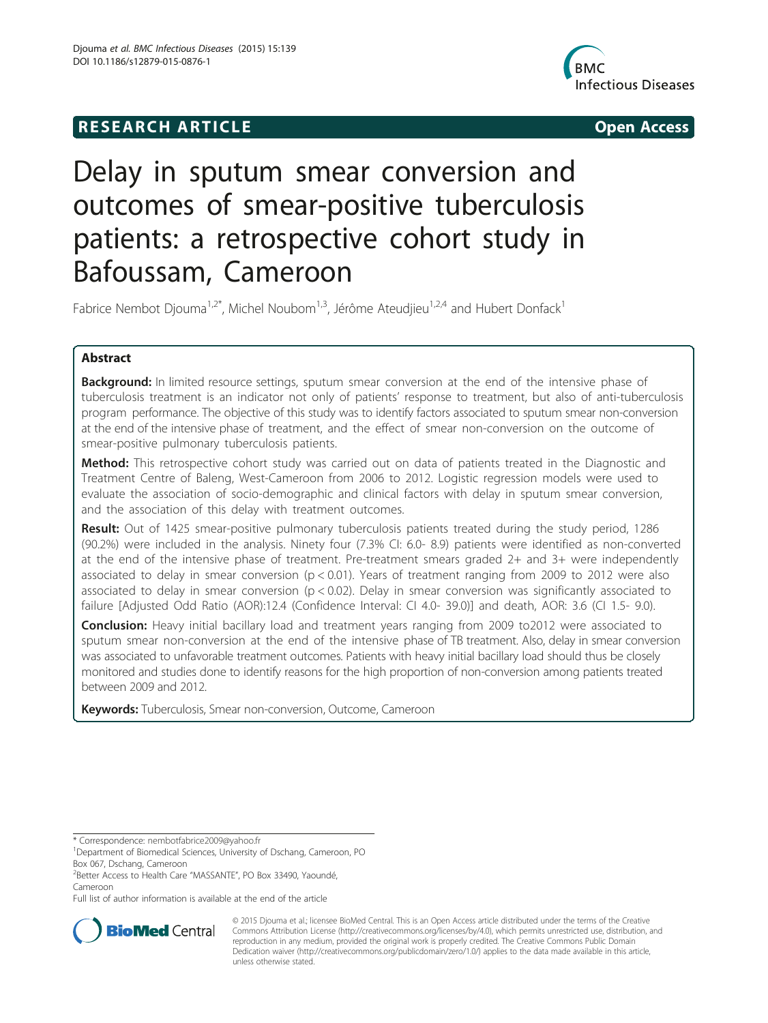# **RESEARCH ARTICLE Example 2014 The SEAR CH ACCESS**



# Delay in sputum smear conversion and outcomes of smear-positive tuberculosis patients: a retrospective cohort study in Bafoussam, Cameroon

Fabrice Nembot Djouma<sup>1,2\*</sup>, Michel Noubom<sup>1,3</sup>, Jérôme Ateudijeu<sup>1,2,4</sup> and Hubert Donfack<sup>1</sup>

# Abstract

**Background:** In limited resource settings, sputum smear conversion at the end of the intensive phase of tuberculosis treatment is an indicator not only of patients' response to treatment, but also of anti-tuberculosis program performance. The objective of this study was to identify factors associated to sputum smear non-conversion at the end of the intensive phase of treatment, and the effect of smear non-conversion on the outcome of smear-positive pulmonary tuberculosis patients.

Method: This retrospective cohort study was carried out on data of patients treated in the Diagnostic and Treatment Centre of Baleng, West-Cameroon from 2006 to 2012. Logistic regression models were used to evaluate the association of socio-demographic and clinical factors with delay in sputum smear conversion, and the association of this delay with treatment outcomes.

Result: Out of 1425 smear-positive pulmonary tuberculosis patients treated during the study period, 1286 (90.2%) were included in the analysis. Ninety four (7.3% CI: 6.0- 8.9) patients were identified as non-converted at the end of the intensive phase of treatment. Pre-treatment smears graded 2+ and 3+ were independently associated to delay in smear conversion (p < 0.01). Years of treatment ranging from 2009 to 2012 were also associated to delay in smear conversion ( $p < 0.02$ ). Delay in smear conversion was significantly associated to failure [Adjusted Odd Ratio (AOR):12.4 (Confidence Interval: CI 4.0- 39.0)] and death, AOR: 3.6 (CI 1.5- 9.0).

Conclusion: Heavy initial bacillary load and treatment years ranging from 2009 to2012 were associated to sputum smear non-conversion at the end of the intensive phase of TB treatment. Also, delay in smear conversion was associated to unfavorable treatment outcomes. Patients with heavy initial bacillary load should thus be closely monitored and studies done to identify reasons for the high proportion of non-conversion among patients treated between 2009 and 2012.

Keywords: Tuberculosis, Smear non-conversion, Outcome, Cameroon

Full list of author information is available at the end of the article



© 2015 Djouma et al.; licensee BioMed Central. This is an Open Access article distributed under the terms of the Creative Commons Attribution License [\(http://creativecommons.org/licenses/by/4.0\)](http://creativecommons.org/licenses/by/4.0), which permits unrestricted use, distribution, and reproduction in any medium, provided the original work is properly credited. The Creative Commons Public Domain Dedication waiver [\(http://creativecommons.org/publicdomain/zero/1.0/](http://creativecommons.org/publicdomain/zero/1.0/)) applies to the data made available in this article, unless otherwise stated.

<sup>\*</sup> Correspondence: [nembotfabrice2009@yahoo.fr](mailto:nembotfabrice2009@yahoo.fr) <sup>1</sup>

<sup>&</sup>lt;sup>1</sup>Department of Biomedical Sciences, University of Dschang, Cameroon, PO Box 067, Dschang, Cameroon

<sup>2</sup> Better Access to Health Care "MASSANTE", PO Box 33490, Yaoundé, Cameroon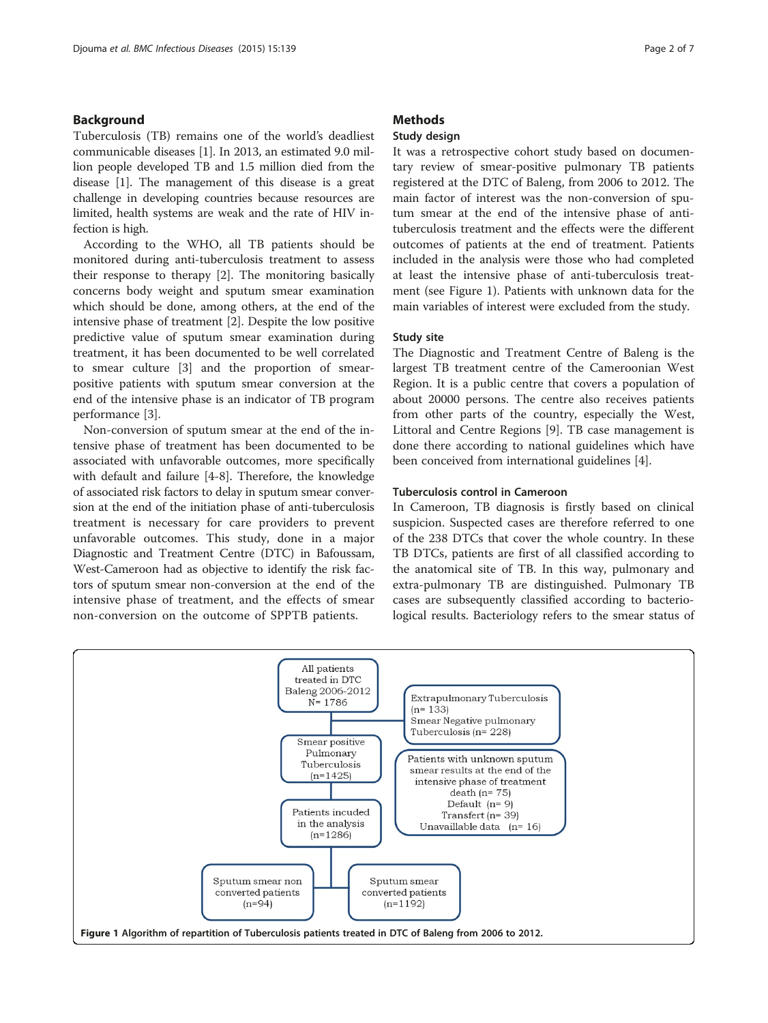#### <span id="page-1-0"></span>Background

Tuberculosis (TB) remains one of the world's deadliest communicable diseases [\[1](#page-5-0)]. In 2013, an estimated 9.0 million people developed TB and 1.5 million died from the disease [[1\]](#page-5-0). The management of this disease is a great challenge in developing countries because resources are limited, health systems are weak and the rate of HIV infection is high.

According to the WHO, all TB patients should be monitored during anti-tuberculosis treatment to assess their response to therapy [[2\]](#page-5-0). The monitoring basically concerns body weight and sputum smear examination which should be done, among others, at the end of the intensive phase of treatment [\[2\]](#page-5-0). Despite the low positive predictive value of sputum smear examination during treatment, it has been documented to be well correlated to smear culture [\[3](#page-5-0)] and the proportion of smearpositive patients with sputum smear conversion at the end of the intensive phase is an indicator of TB program performance [[3](#page-5-0)].

Non-conversion of sputum smear at the end of the intensive phase of treatment has been documented to be associated with unfavorable outcomes, more specifically with default and failure [[4-8\]](#page-5-0). Therefore, the knowledge of associated risk factors to delay in sputum smear conversion at the end of the initiation phase of anti-tuberculosis treatment is necessary for care providers to prevent unfavorable outcomes. This study, done in a major Diagnostic and Treatment Centre (DTC) in Bafoussam, West-Cameroon had as objective to identify the risk factors of sputum smear non-conversion at the end of the intensive phase of treatment, and the effects of smear non-conversion on the outcome of SPPTB patients.

#### **Methods**

### Study design

It was a retrospective cohort study based on documentary review of smear-positive pulmonary TB patients registered at the DTC of Baleng, from 2006 to 2012. The main factor of interest was the non-conversion of sputum smear at the end of the intensive phase of antituberculosis treatment and the effects were the different outcomes of patients at the end of treatment. Patients included in the analysis were those who had completed at least the intensive phase of anti-tuberculosis treatment (see Figure 1). Patients with unknown data for the main variables of interest were excluded from the study.

#### Study site

The Diagnostic and Treatment Centre of Baleng is the largest TB treatment centre of the Cameroonian West Region. It is a public centre that covers a population of about 20000 persons. The centre also receives patients from other parts of the country, especially the West, Littoral and Centre Regions [\[9](#page-5-0)]. TB case management is done there according to national guidelines which have been conceived from international guidelines [\[4](#page-5-0)].

#### Tuberculosis control in Cameroon

In Cameroon, TB diagnosis is firstly based on clinical suspicion. Suspected cases are therefore referred to one of the 238 DTCs that cover the whole country. In these TB DTCs, patients are first of all classified according to the anatomical site of TB. In this way, pulmonary and extra-pulmonary TB are distinguished. Pulmonary TB cases are subsequently classified according to bacteriological results. Bacteriology refers to the smear status of

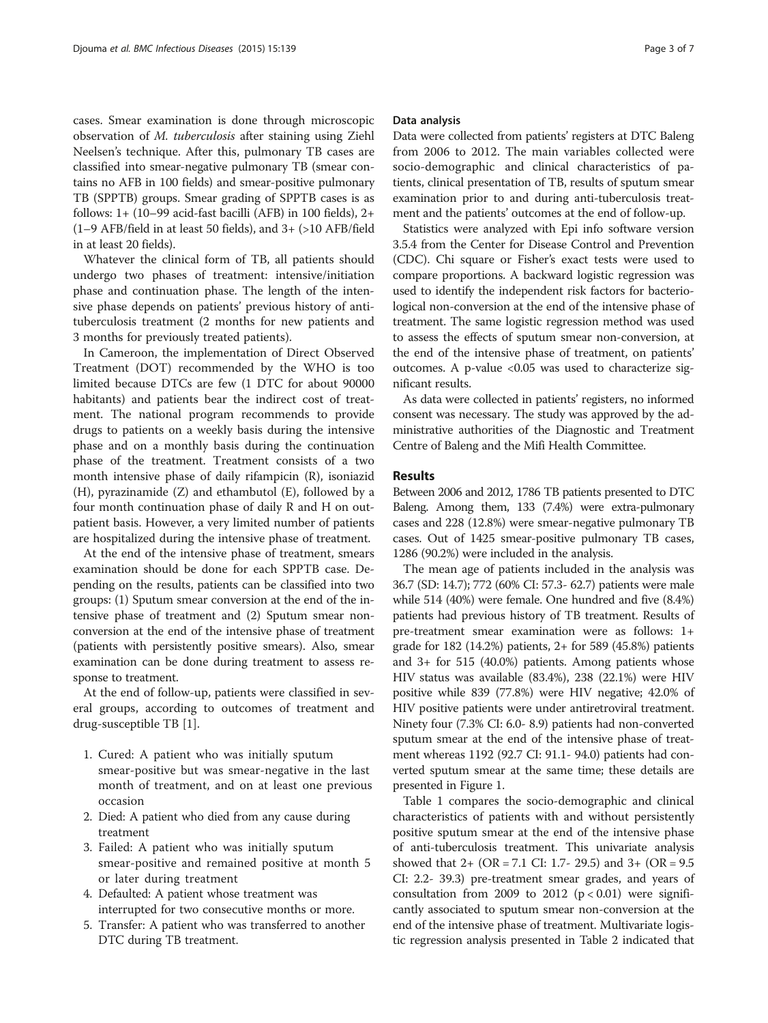cases. Smear examination is done through microscopic observation of M. tuberculosis after staining using Ziehl Neelsen's technique. After this, pulmonary TB cases are classified into smear-negative pulmonary TB (smear contains no AFB in 100 fields) and smear-positive pulmonary TB (SPPTB) groups. Smear grading of SPPTB cases is as follows:  $1+ (10-99 \text{ acid-fast bacilli (AFB) in } 100 \text{ fields}), 2+$ (1–9 AFB/field in at least 50 fields), and 3+ (>10 AFB/field in at least 20 fields).

Whatever the clinical form of TB, all patients should undergo two phases of treatment: intensive/initiation phase and continuation phase. The length of the intensive phase depends on patients' previous history of antituberculosis treatment (2 months for new patients and 3 months for previously treated patients).

In Cameroon, the implementation of Direct Observed Treatment (DOT) recommended by the WHO is too limited because DTCs are few (1 DTC for about 90000 habitants) and patients bear the indirect cost of treatment. The national program recommends to provide drugs to patients on a weekly basis during the intensive phase and on a monthly basis during the continuation phase of the treatment. Treatment consists of a two month intensive phase of daily rifampicin (R), isoniazid (H), pyrazinamide (Z) and ethambutol (E), followed by a four month continuation phase of daily R and H on outpatient basis. However, a very limited number of patients are hospitalized during the intensive phase of treatment.

At the end of the intensive phase of treatment, smears examination should be done for each SPPTB case. Depending on the results, patients can be classified into two groups: (1) Sputum smear conversion at the end of the intensive phase of treatment and (2) Sputum smear nonconversion at the end of the intensive phase of treatment (patients with persistently positive smears). Also, smear examination can be done during treatment to assess response to treatment.

At the end of follow-up, patients were classified in several groups, according to outcomes of treatment and drug-susceptible TB [[1\]](#page-5-0).

- 1. Cured: A patient who was initially sputum smear-positive but was smear-negative in the last month of treatment, and on at least one previous occasion
- 2. Died: A patient who died from any cause during treatment
- 3. Failed: A patient who was initially sputum smear-positive and remained positive at month 5 or later during treatment
- 4. Defaulted: A patient whose treatment was interrupted for two consecutive months or more.
- 5. Transfer: A patient who was transferred to another DTC during TB treatment.

#### Data analysis

Data were collected from patients' registers at DTC Baleng from 2006 to 2012. The main variables collected were socio-demographic and clinical characteristics of patients, clinical presentation of TB, results of sputum smear examination prior to and during anti-tuberculosis treatment and the patients' outcomes at the end of follow-up.

Statistics were analyzed with Epi info software version 3.5.4 from the Center for Disease Control and Prevention (CDC). Chi square or Fisher's exact tests were used to compare proportions. A backward logistic regression was used to identify the independent risk factors for bacteriological non-conversion at the end of the intensive phase of treatment. The same logistic regression method was used to assess the effects of sputum smear non-conversion, at the end of the intensive phase of treatment, on patients' outcomes. A p-value <0.05 was used to characterize significant results.

As data were collected in patients' registers, no informed consent was necessary. The study was approved by the administrative authorities of the Diagnostic and Treatment Centre of Baleng and the Mifi Health Committee.

#### Results

Between 2006 and 2012, 1786 TB patients presented to DTC Baleng. Among them, 133 (7.4%) were extra-pulmonary cases and 228 (12.8%) were smear-negative pulmonary TB cases. Out of 1425 smear-positive pulmonary TB cases, 1286 (90.2%) were included in the analysis.

The mean age of patients included in the analysis was 36.7 (SD: 14.7); 772 (60% CI: 57.3- 62.7) patients were male while 514 (40%) were female. One hundred and five (8.4%) patients had previous history of TB treatment. Results of pre-treatment smear examination were as follows: 1+ grade for 182 (14.2%) patients, 2+ for 589 (45.8%) patients and 3+ for 515 (40.0%) patients. Among patients whose HIV status was available (83.4%), 238 (22.1%) were HIV positive while 839 (77.8%) were HIV negative; 42.0% of HIV positive patients were under antiretroviral treatment. Ninety four (7.3% CI: 6.0- 8.9) patients had non-converted sputum smear at the end of the intensive phase of treatment whereas 1192 (92.7 CI: 91.1- 94.0) patients had converted sputum smear at the same time; these details are presented in Figure [1](#page-1-0).

Table [1](#page-3-0) compares the socio-demographic and clinical characteristics of patients with and without persistently positive sputum smear at the end of the intensive phase of anti-tuberculosis treatment. This univariate analysis showed that 2+ (OR = 7.1 CI: 1.7- 29.5) and 3+ (OR = 9.5 CI: 2.2- 39.3) pre-treatment smear grades, and years of consultation from 2009 to 2012  $(p < 0.01)$  were significantly associated to sputum smear non-conversion at the end of the intensive phase of treatment. Multivariate logistic regression analysis presented in Table [2](#page-3-0) indicated that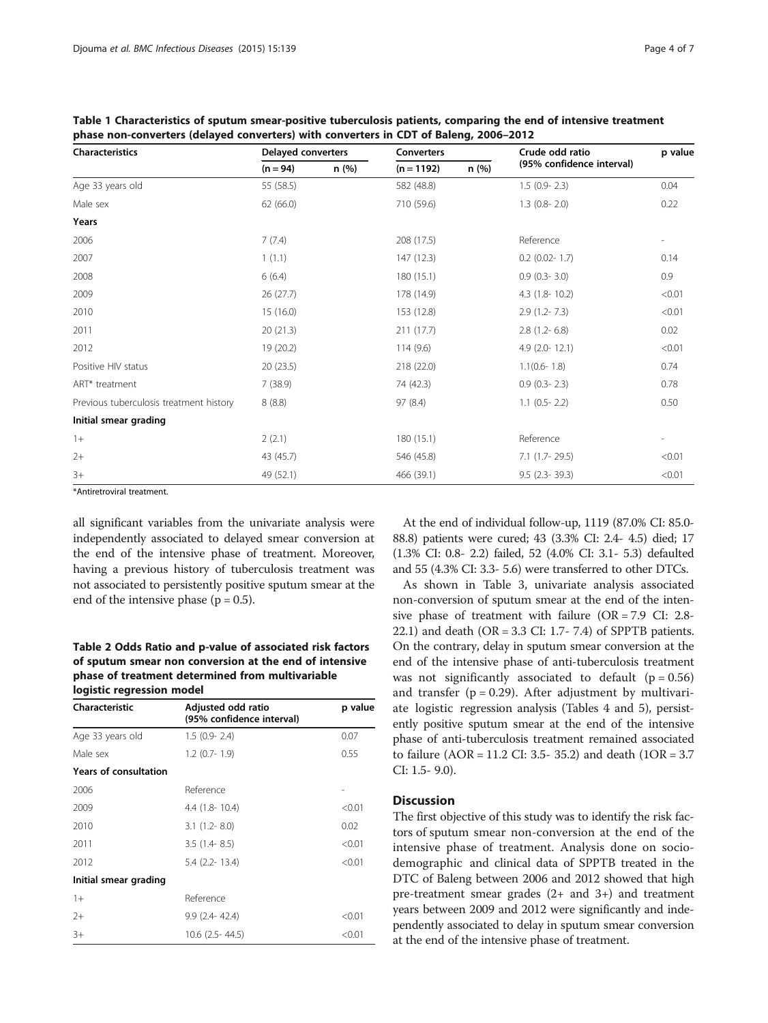| <b>Characteristics</b>                  | <b>Delayed converters</b> |       | <b>Converters</b> |      | Crude odd ratio           | p value |
|-----------------------------------------|---------------------------|-------|-------------------|------|---------------------------|---------|
|                                         | $(n = 94)$                | n (%) | $(n = 1192)$      | n(%) | (95% confidence interval) |         |
| Age 33 years old                        | 55 (58.5)                 |       | 582 (48.8)        |      | $1.5$ (0.9- 2.3)          | 0.04    |
| Male sex                                | 62(66.0)                  |       | 710 (59.6)        |      | $1.3$ (0.8- 2.0)          | 0.22    |
| Years                                   |                           |       |                   |      |                           |         |
| 2006                                    | 7(7.4)                    |       | 208 (17.5)        |      | Reference                 |         |
| 2007                                    | 1(1.1)                    |       | 147 (12.3)        |      | $0.2$ (0.02- 1.7)         | 0.14    |
| 2008                                    | 6(6.4)                    |       | 180 (15.1)        |      | $0.9$ $(0.3 - 3.0)$       | 0.9     |
| 2009                                    | 26(27.7)                  |       | 178 (14.9)        |      | $4.3$ (1.8-10.2)          | < 0.01  |
| 2010                                    | 15 (16.0)                 |       | 153 (12.8)        |      | $2.9(1.2 - 7.3)$          | < 0.01  |
| 2011                                    | 20(21.3)                  |       | 211 (17.7)        |      | $2.8$ (1.2-6.8)           | 0.02    |
| 2012                                    | 19 (20.2)                 |       | 114(9.6)          |      | $4.9$ (2.0-12.1)          | < 0.01  |
| Positive HIV status                     | 20(23.5)                  |       | 218 (22.0)        |      | $1.1(0.6 - 1.8)$          | 0.74    |
| ART* treatment                          | 7(38.9)                   |       | 74 (42.3)         |      | $0.9$ (0.3- 2.3)          | 0.78    |
| Previous tuberculosis treatment history | 8(8.8)                    |       | 97 (8.4)          |      | $1.1$ (0.5- 2.2)          | 0.50    |
| Initial smear grading                   |                           |       |                   |      |                           |         |
| $1+$                                    | 2(2.1)                    |       | 180 (15.1)        |      | Reference                 |         |
| $2+$                                    | 43 (45.7)                 |       | 546 (45.8)        |      | $7.1$ (1.7-29.5)          | < 0.01  |
| $3+$                                    | 49 (52.1)                 |       | 466 (39.1)        |      | $9.5$ (2.3-39.3)          | < 0.01  |

<span id="page-3-0"></span>Table 1 Characteristics of sputum smear-positive tuberculosis patients, comparing the end of intensive treatment phase non-converters (delayed converters) with converters in CDT of Baleng, 2006–2012

\*Antiretroviral treatment.

all significant variables from the univariate analysis were independently associated to delayed smear conversion at the end of the intensive phase of treatment. Moreover, having a previous history of tuberculosis treatment was not associated to persistently positive sputum smear at the end of the intensive phase ( $p = 0.5$ ).

#### Table 2 Odds Ratio and p-value of associated risk factors of sputum smear non conversion at the end of intensive phase of treatment determined from multivariable logistic regression model

| Characteristic               | Adjusted odd ratio<br>(95% confidence interval) | p value |
|------------------------------|-------------------------------------------------|---------|
| Age 33 years old             | $1.5$ (0.9- 2.4)                                | 0.07    |
| Male sex                     | $1.2$ (0.7- 1.9)                                | 0.55    |
| <b>Years of consultation</b> |                                                 |         |
| 2006                         | Reference                                       |         |
| 2009                         | $4.4(1.8-10.4)$                                 | < 0.01  |
| 2010                         | $3.1(1.2 - 8.0)$                                | 0.02    |
| 2011                         | $3.5(1.4-8.5)$                                  | < 0.01  |
| 2012                         | $5.4$ (2.2-13.4)                                | < 0.01  |
| Initial smear grading        |                                                 |         |
| $1+$                         | Reference                                       |         |
| $2+$                         | $9.9(2.4 - 42.4)$                               | < 0.01  |
| $3+$                         | 10.6 (2.5 - 44.5)                               | < 0.01  |

At the end of individual follow-up, 1119 (87.0% CI: 85.0- 88.8) patients were cured; 43 (3.3% CI: 2.4- 4.5) died; 17 (1.3% CI: 0.8- 2.2) failed, 52 (4.0% CI: 3.1- 5.3) defaulted and 55 (4.3% CI: 3.3- 5.6) were transferred to other DTCs.

As shown in Table [3,](#page-4-0) univariate analysis associated non-conversion of sputum smear at the end of the intensive phase of treatment with failure (OR = 7.9 CI: 2.8- 22.1) and death ( $OR = 3.3$  CI: 1.7- 7.4) of SPPTB patients. On the contrary, delay in sputum smear conversion at the end of the intensive phase of anti-tuberculosis treatment was not significantly associated to default  $(p = 0.56)$ and transfer ( $p = 0.29$ ). After adjustment by multivariate logistic regression analysis (Tables [4](#page-4-0) and [5](#page-4-0)), persistently positive sputum smear at the end of the intensive phase of anti-tuberculosis treatment remained associated to failure (AOR = 11.2 CI: 3.5- 35.2) and death (1OR = 3.7 CI: 1.5- 9.0).

#### **Discussion**

The first objective of this study was to identify the risk factors of sputum smear non-conversion at the end of the intensive phase of treatment. Analysis done on sociodemographic and clinical data of SPPTB treated in the DTC of Baleng between 2006 and 2012 showed that high pre-treatment smear grades (2+ and 3+) and treatment years between 2009 and 2012 were significantly and independently associated to delay in sputum smear conversion at the end of the intensive phase of treatment.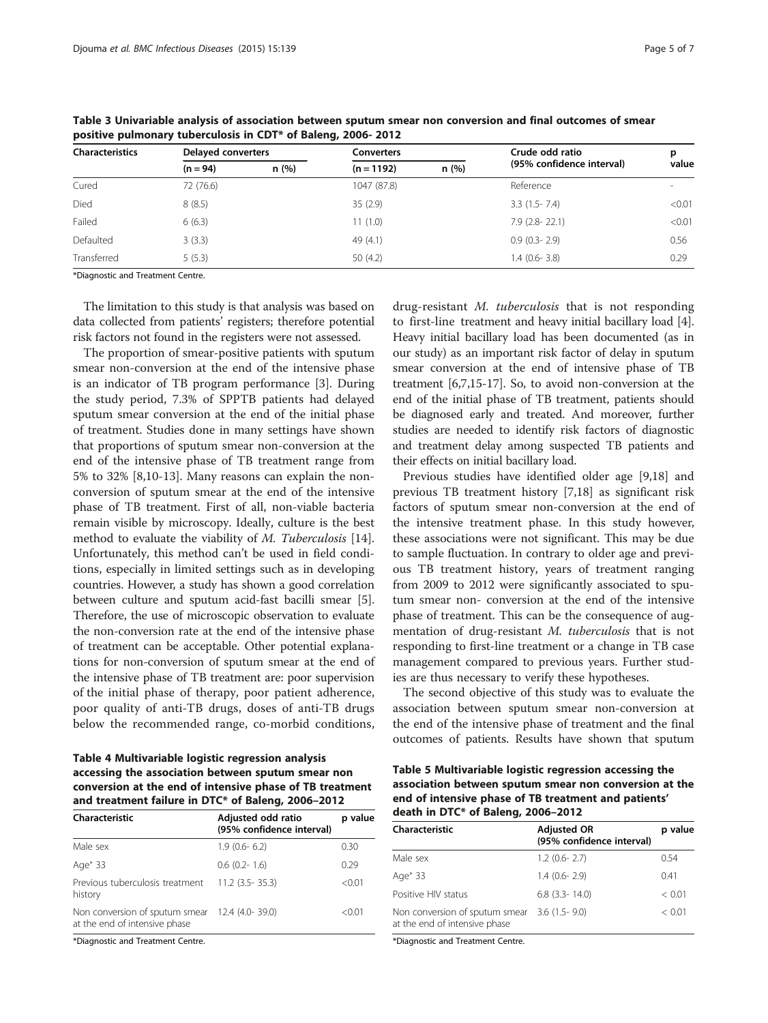| <b>Characteristics</b> | <b>Delayed converters</b> |      | <b>Converters</b> |      | Crude odd ratio           | р      |
|------------------------|---------------------------|------|-------------------|------|---------------------------|--------|
|                        | $(n = 94)$                | n(%) | $(n = 1192)$      | n(%) | (95% confidence interval) | value  |
| Cured                  | 72 (76.6)                 |      | 1047 (87.8)       |      | Reference                 |        |
| Died                   | 8(8.5)                    |      | 35(2.9)           |      | $3.3(1.5-7.4)$            | < 0.01 |
| Failed                 | 6(6.3)                    |      | 11(1.0)           |      | $7.9$ (2.8-22.1)          | < 0.01 |
| Defaulted              | 3(3.3)                    |      | 49 (4.1)          |      | $0.9$ $(0.3 - 2.9)$       | 0.56   |
| Transferred            | 5(5.3)                    |      | 50(4.2)           |      | $1.4$ (0.6-3.8)           | 0.29   |

<span id="page-4-0"></span>Table 3 Univariable analysis of association between sputum smear non conversion and final outcomes of smear positive pulmonary tuberculosis in CDT\* of Baleng, 2006- 2012

\*Diagnostic and Treatment Centre.

The limitation to this study is that analysis was based on data collected from patients' registers; therefore potential risk factors not found in the registers were not assessed.

The proportion of smear-positive patients with sputum smear non-conversion at the end of the intensive phase is an indicator of TB program performance [[3](#page-5-0)]. During the study period, 7.3% of SPPTB patients had delayed sputum smear conversion at the end of the initial phase of treatment. Studies done in many settings have shown that proportions of sputum smear non-conversion at the end of the intensive phase of TB treatment range from 5% to 32% [\[8,10-13](#page-5-0)]. Many reasons can explain the nonconversion of sputum smear at the end of the intensive phase of TB treatment. First of all, non-viable bacteria remain visible by microscopy. Ideally, culture is the best method to evaluate the viability of *M. Tuberculosis* [\[14](#page-5-0)]. Unfortunately, this method can't be used in field conditions, especially in limited settings such as in developing countries. However, a study has shown a good correlation between culture and sputum acid-fast bacilli smear [[5](#page-5-0)]. Therefore, the use of microscopic observation to evaluate the non-conversion rate at the end of the intensive phase of treatment can be acceptable. Other potential explanations for non-conversion of sputum smear at the end of the intensive phase of TB treatment are: poor supervision of the initial phase of therapy, poor patient adherence, poor quality of anti-TB drugs, doses of anti-TB drugs below the recommended range, co-morbid conditions,

Table 4 Multivariable logistic regression analysis accessing the association between sputum smear non conversion at the end of intensive phase of TB treatment and treatment failure in DTC\* of Baleng, 2006–2012

| Characteristic                                                  | Adjusted odd ratio<br>(95% confidence interval) | p value |
|-----------------------------------------------------------------|-------------------------------------------------|---------|
| Male sex                                                        | $1.9(0.6-6.2)$                                  | 0.30    |
| Age <sup>&gt;</sup> 33                                          | $0.6$ $(0.2 - 1.6)$                             | 0.29    |
| Previous tuberculosis treatment<br>history                      | $11.2$ (3.5 - 35.3)                             | < 0.01  |
| Non conversion of sputum smear<br>at the end of intensive phase | 12.4 (4.0-39.0)                                 | < 0.01  |

\*Diagnostic and Treatment Centre.

drug-resistant M. tuberculosis that is not responding to first-line treatment and heavy initial bacillary load [[4](#page-5-0)]. Heavy initial bacillary load has been documented (as in our study) as an important risk factor of delay in sputum smear conversion at the end of intensive phase of TB treatment [[6](#page-5-0),[7,15](#page-5-0)-[17](#page-5-0)]. So, to avoid non-conversion at the end of the initial phase of TB treatment, patients should be diagnosed early and treated. And moreover, further studies are needed to identify risk factors of diagnostic and treatment delay among suspected TB patients and their effects on initial bacillary load.

Previous studies have identified older age [[9,18\]](#page-5-0) and previous TB treatment history [\[7,18](#page-5-0)] as significant risk factors of sputum smear non-conversion at the end of the intensive treatment phase. In this study however, these associations were not significant. This may be due to sample fluctuation. In contrary to older age and previous TB treatment history, years of treatment ranging from 2009 to 2012 were significantly associated to sputum smear non- conversion at the end of the intensive phase of treatment. This can be the consequence of augmentation of drug-resistant M. tuberculosis that is not responding to first-line treatment or a change in TB case management compared to previous years. Further studies are thus necessary to verify these hypotheses.

The second objective of this study was to evaluate the association between sputum smear non-conversion at the end of the intensive phase of treatment and the final outcomes of patients. Results have shown that sputum

| Table 5 Multivariable logistic regression accessing the |
|---------------------------------------------------------|
| association between sputum smear non conversion at the  |
| end of intensive phase of TB treatment and patients'    |
| death in DTC* of Baleng, 2006-2012                      |

| Characteristic                                                  | <b>Adjusted OR</b><br>(95% confidence interval) | p value |
|-----------------------------------------------------------------|-------------------------------------------------|---------|
| Male sex                                                        | $1.2$ (0.6- 2.7)                                | 0.54    |
| Age <sup>&gt;</sup> 33                                          | $1.4(0.6-2.9)$                                  | 0.41    |
| Positive HIV status                                             | $6.8$ $(3.3 - 14.0)$                            | < 0.01  |
| Non conversion of sputum smear<br>at the end of intensive phase | $3.6(1.5-9.0)$                                  | < 0.01  |

\*Diagnostic and Treatment Centre.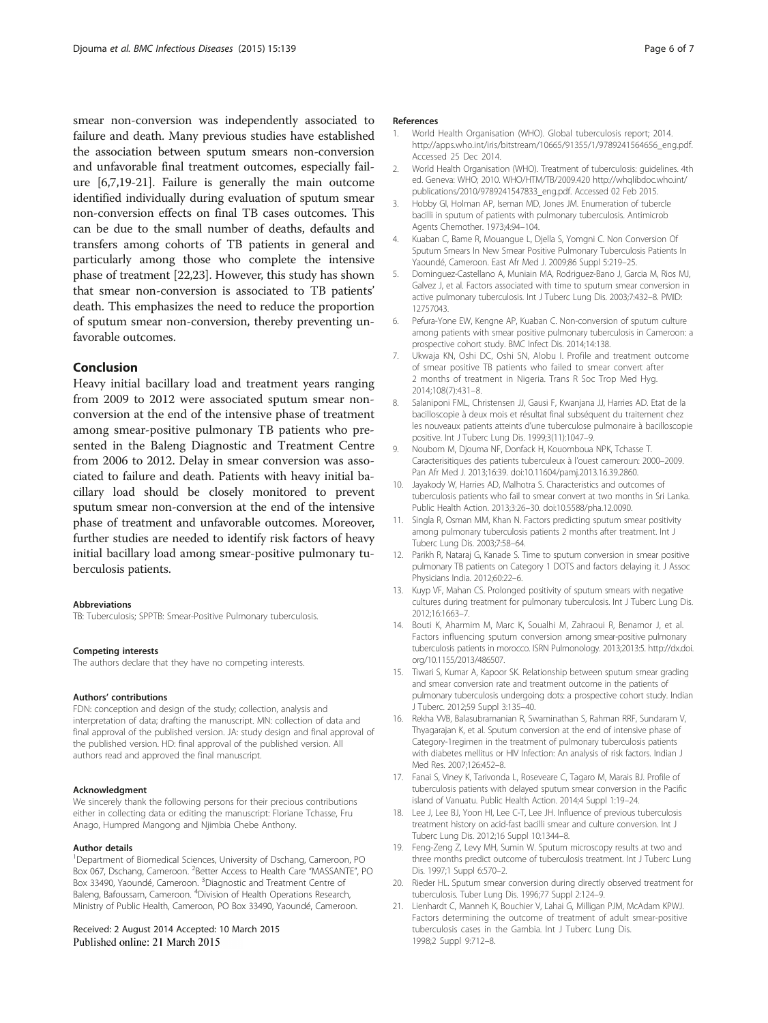<span id="page-5-0"></span>smear non-conversion was independently associated to failure and death. Many previous studies have established the association between sputum smears non-conversion and unfavorable final treatment outcomes, especially failure [6,7,19-21]. Failure is generally the main outcome identified individually during evaluation of sputum smear non-conversion effects on final TB cases outcomes. This can be due to the small number of deaths, defaults and transfers among cohorts of TB patients in general and particularly among those who complete the intensive phase of treatment [[22,23](#page-6-0)]. However, this study has shown that smear non-conversion is associated to TB patients' death. This emphasizes the need to reduce the proportion of sputum smear non-conversion, thereby preventing unfavorable outcomes.

#### Conclusion

Heavy initial bacillary load and treatment years ranging from 2009 to 2012 were associated sputum smear nonconversion at the end of the intensive phase of treatment among smear-positive pulmonary TB patients who presented in the Baleng Diagnostic and Treatment Centre from 2006 to 2012. Delay in smear conversion was associated to failure and death. Patients with heavy initial bacillary load should be closely monitored to prevent sputum smear non-conversion at the end of the intensive phase of treatment and unfavorable outcomes. Moreover, further studies are needed to identify risk factors of heavy initial bacillary load among smear-positive pulmonary tuberculosis patients.

#### Abbreviations

TB: Tuberculosis; SPPTB: Smear-Positive Pulmonary tuberculosis.

#### Competing interests

The authors declare that they have no competing interests.

#### Authors' contributions

FDN: conception and design of the study; collection, analysis and interpretation of data; drafting the manuscript. MN: collection of data and final approval of the published version. JA: study design and final approval of the published version. HD: final approval of the published version. All authors read and approved the final manuscript.

#### Acknowledgment

We sincerely thank the following persons for their precious contributions either in collecting data or editing the manuscript: Floriane Tchasse, Fru Anago, Humpred Mangong and Njimbia Chebe Anthony.

#### Author details

<sup>1</sup>Department of Biomedical Sciences, University of Dschang, Cameroon, PO Box 067, Dschang, Cameroon. <sup>2</sup> Better Access to Health Care "MASSANTE", PO Box 33490, Yaoundé, Cameroon. <sup>3</sup>Diagnostic and Treatment Centre of Baleng, Bafoussam, Cameroon. <sup>4</sup>Division of Health Operations Research, Ministry of Public Health, Cameroon, PO Box 33490, Yaoundé, Cameroon.

#### Received: 2 August 2014 Accepted: 10 March 2015 Published online: 21 March 2015

#### References

- 1. World Health Organisation (WHO). Global tuberculosis report; 2014. [http://apps.who.int/iris/bitstream/10665/91355/1/9789241564656\\_eng.pdf](http://apps.who.int/iris/bitstream/10665/91355/1/9789241564656_eng.pdf). Accessed 25 Dec 2014.
- 2. World Health Organisation (WHO). Treatment of tuberculosis: guidelines. 4th ed. Geneva: WHO; 2010. WHO/HTM/TB/2009.420 [http://whqlibdoc.who.int/](http://whqlibdoc.who.int/publications/2010/9789241547833_eng.pdf) [publications/2010/9789241547833\\_eng.pdf](http://whqlibdoc.who.int/publications/2010/9789241547833_eng.pdf). Accessed 02 Feb 2015.
- 3. Hobby GI, Holman AP, Iseman MD, Jones JM. Enumeration of tubercle bacilli in sputum of patients with pulmonary tuberculosis. Antimicrob Agents Chemother. 1973;4:94–104.
- 4. Kuaban C, Bame R, Mouangue L, Djella S, Yomgni C. Non Conversion Of Sputum Smears In New Smear Positive Pulmonary Tuberculosis Patients In Yaoundé, Cameroon. East Afr Med J. 2009;86 Suppl 5:219–25.
- 5. Dominguez-Castellano A, Muniain MA, Rodriguez-Bano J, Garcia M, Rios MJ, Galvez J, et al. Factors associated with time to sputum smear conversion in active pulmonary tuberculosis. Int J Tuberc Lung Dis. 2003;7:432–8. PMID: 12757043.
- 6. Pefura-Yone EW, Kengne AP, Kuaban C. Non-conversion of sputum culture among patients with smear positive pulmonary tuberculosis in Cameroon: a prospective cohort study. BMC Infect Dis. 2014;14:138.
- 7. Ukwaja KN, Oshi DC, Oshi SN, Alobu I. Profile and treatment outcome of smear positive TB patients who failed to smear convert after 2 months of treatment in Nigeria. Trans R Soc Trop Med Hyg. 2014;108(7):431–8.
- Salaniponi FML, Christensen JJ, Gausi F, Kwanjana JJ, Harries AD. Etat de la bacilloscopie à deux mois et résultat final subséquent du traitement chez les nouveaux patients atteints d'une tuberculose pulmonaire à bacilloscopie positive. Int J Tuberc Lung Dis. 1999;3(11):1047–9.
- 9. Noubom M, Djouma NF, Donfack H, Kouomboua NPK, Tchasse T. Caracterisitiques des patients tuberculeux à l'ouest cameroun: 2000–2009. Pan Afr Med J. 2013;16:39. doi:10.11604/pamj.2013.16.39.2860.
- 10. Jayakody W, Harries AD, Malhotra S. Characteristics and outcomes of tuberculosis patients who fail to smear convert at two months in Sri Lanka. Public Health Action. 2013;3:26–30. doi:10.5588/pha.12.0090.
- 11. Singla R, Osman MM, Khan N. Factors predicting sputum smear positivity among pulmonary tuberculosis patients 2 months after treatment. Int J Tuberc Lung Dis. 2003;7:58–64.
- 12. Parikh R, Nataraj G, Kanade S. Time to sputum conversion in smear positive pulmonary TB patients on Category 1 DOTS and factors delaying it. J Assoc Physicians India. 2012;60:22–6.
- 13. Kuyp VF, Mahan CS. Prolonged positivity of sputum smears with negative cultures during treatment for pulmonary tuberculosis. Int J Tuberc Lung Dis. 2012;16:1663–7.
- 14. Bouti K, Aharmim M, Marc K, Soualhi M, Zahraoui R, Benamor J, et al. Factors influencing sputum conversion among smear-positive pulmonary tuberculosis patients in morocco. ISRN Pulmonology. 2013;2013:5. [http://dx.doi.](http://dx.doi.org/10.1155/2013/486507) [org/10.1155/2013/486507.](http://dx.doi.org/10.1155/2013/486507)
- 15. Tiwari S, Kumar A, Kapoor SK. Relationship between sputum smear grading and smear conversion rate and treatment outcome in the patients of pulmonary tuberculosis undergoing dots: a prospective cohort study. Indian J Tuberc. 2012;59 Suppl 3:135–40.
- 16. Rekha VVB, Balasubramanian R, Swaminathan S, Rahman RRF, Sundaram V, Thyagarajan K, et al. Sputum conversion at the end of intensive phase of Category-1regimen in the treatment of pulmonary tuberculosis patients with diabetes mellitus or HIV Infection: An analysis of risk factors. Indian J Med Res. 2007;126:452–8.
- 17. Fanai S, Viney K, Tarivonda L, Roseveare C, Tagaro M, Marais BJ. Profile of tuberculosis patients with delayed sputum smear conversion in the Pacific island of Vanuatu. Public Health Action. 2014;4 Suppl 1:19–24.
- 18. Lee J, Lee BJ, Yoon HI, Lee C-T, Lee JH. Influence of previous tuberculosis treatment history on acid-fast bacilli smear and culture conversion. Int J Tuberc Lung Dis. 2012;16 Suppl 10:1344–8.
- 19. Feng-Zeng Z, Levy MH, Sumin W. Sputum microscopy results at two and three months predict outcome of tuberculosis treatment. Int J Tuberc Lung Dis. 1997;1 Suppl 6:570–2.
- 20. Rieder HL. Sputum smear conversion during directly observed treatment for tuberculosis. Tuber Lung Dis. 1996;77 Suppl 2:124–9.
- 21. Lienhardt C, Manneh K, Bouchier V, Lahai G, Milligan PJM, McAdam KPWJ. Factors determining the outcome of treatment of adult smear-positive tuberculosis cases in the Gambia. Int J Tuberc Lung Dis. 1998;2 Suppl 9:712–8.